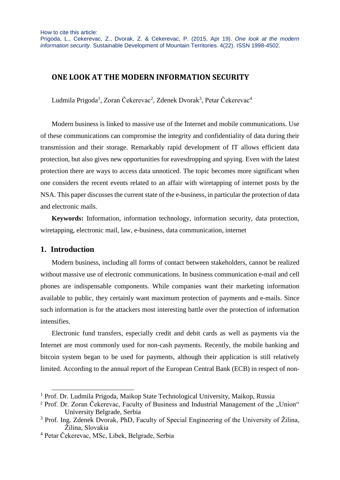# **ONE LOOK AT THE MODERN INFORMATION SECURITY**

Ludmila Prigoda<sup>1</sup>, Zoran Čekerevac<sup>2</sup>, Zdenek Dvorak<sup>3</sup>, Petar Čekerevac<sup>4</sup>

Modern business is linked to massive use of the Internet and mobile communications. Use of these communications can compromise the integrity and confidentiality of data during their transmission and their storage. Remarkably rapid development of IT allows efficient data protection, but also gives new opportunities for eavesdropping and spying. Even with the latest protection there are ways to access data unnoticed. The topic becomes more significant when one considers the recent events related to an affair with wiretapping of internet posts by the NSA. This paper discusses the current state of the e-business, in particular the protection of data and electronic mails.

**Keywords:** Information, information technology, information security, data protection, wiretapping, electronic mail, law, e-business, data communication, internet

## **1. Introduction**

l

Modern business, including all forms of contact between stakeholders, cannot be realized without massive use of electronic communications. In business communication e-mail and cell phones are indispensable components. While companies want their marketing information available to public, they certainly want maximum protection of payments and e-mails. Since such information is for the attackers most interesting battle over the protection of information intensifies.

Electronic fund transfers, especially credit and debit cards as well as payments via the Internet are most commonly used for non-cash payments. Recently, the mobile banking and bitcoin system began to be used for payments, although their application is still relatively limited. According to the annual report of the European Central Bank (ECB) in respect of non-

<sup>&</sup>lt;sup>1</sup> Prof. Dr. Ludmila Prigoda, Maikop State Technological University, Maikop, Russia

<sup>&</sup>lt;sup>2</sup> Prof. Dr. Zoran Čekerevac, Faculty of Business and Industrial Management of the "Union" University Belgrade, Serbia

<sup>&</sup>lt;sup>3</sup> Prof. Ing. Zdenek Dvorak, PhD, Faculty of Special Engineering of the University of Žilina, Žilina, Slovakia

<sup>4</sup> Petar Čekerevac, MSc, Libek, Belgrade, Serbia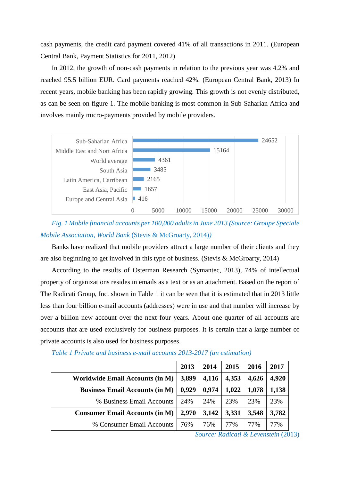cash payments, the credit card payment covered 41% of all transactions in 2011. (European Central Bank, Payment Statistics for 2011, 2012)

In 2012, the growth of non-cash payments in relation to the previous year was 4.2% and reached 95.5 billion EUR. Card payments reached 42%. (European Central Bank, 2013) In recent years, mobile banking has been rapidly growing. This growth is not evenly distributed, as can be seen on figure 1. The mobile banking is most common in Sub-Saharian Africa and involves mainly micro-payments provided by mobile providers.



*Fig. 1 Mobile financial accounts per 100,000 adults in June 2013 (Source: Groupe Speciale Mobile Association, World Bank* (Stevis & McGroarty, 2014)*)*

Banks have realized that mobile providers attract a large number of their clients and they are also beginning to get involved in this type of business. (Stevis & McGroarty, 2014)

According to the results of Osterman Research (Symantec, 2013), 74% of intellectual property of organizations resides in emails as a text or as an attachment. Based on the report of The Radicati Group, Inc. shown in Table 1 it can be seen that it is estimated that in 2013 little less than four billion e-mail accounts (addresses) were in use and that number will increase by over a billion new account over the next four years. About one quarter of all accounts are accounts that are used exclusively for business purposes. It is certain that a large number of private accounts is also used for business purposes.

|                                        | 2013  | 2014  | 2015  | 2016  | 2017  |
|----------------------------------------|-------|-------|-------|-------|-------|
| <b>Worldwide Email Accounts (in M)</b> | 3,899 | 4,116 | 4,353 | 4,626 | 4,920 |
| <b>Business Email Accounts (in M)</b>  | 0.929 | 0,974 | 1,022 | 1,078 | 1,138 |
| % Business Email Accounts              | 24%   | 24%   | 23%   | 23%   | 23%   |
| <b>Consumer Email Accounts (in M)</b>  | 2,970 | 3,142 | 3,331 | 3,548 | 3,782 |
| % Consumer Email Accounts              | 76%   | 76%   | 77%   | 77%   | 77%   |

*Table 1 Private and business e-mail accounts 2013-2017 (an estimation)*

*Source: Radicati & Levenstein* (2013)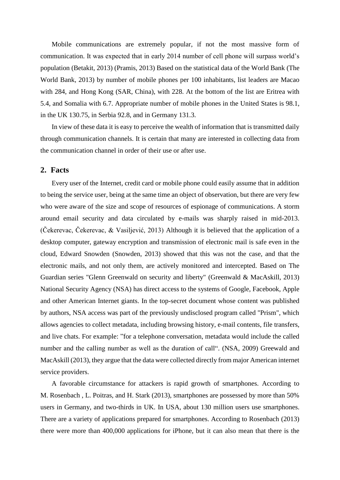Mobile communications are extremely popular, if not the most massive form of communication. It was expected that in early 2014 number of cell phone will surpass world's population (Betakit, 2013) (Pramis, 2013) Based on the statistical data of the World Bank (The World Bank, 2013) by number of mobile phones per 100 inhabitants, list leaders are Macao with 284, and Hong Kong (SAR, China), with 228. At the bottom of the list are Eritrea with 5.4, and Somalia with 6.7. Appropriate number of mobile phones in the United States is 98.1, in the UK 130.75, in Serbia 92.8, and in Germany 131.3.

In view of these data it is easy to perceive the wealth of information that is transmitted daily through communication channels. It is certain that many are interested in collecting data from the communication channel in order of their use or after use.

### **2. Facts**

Every user of the Internet, credit card or mobile phone could easily assume that in addition to being the service user, being at the same time an object of observation, but there are very few who were aware of the size and scope of resources of espionage of communications. A storm around email security and data circulated by e-mails was sharply raised in mid-2013. (Čekerevac, Čekerevac, & Vasiljević, 2013) Although it is believed that the application of a desktop computer, gateway encryption and transmission of electronic mail is safe even in the cloud, Edward Snowden (Snowden, 2013) showed that this was not the case, and that the electronic mails, and not only them, are actively monitored and intercepted. Based on The Guardian series "Glenn Greenwald on security and liberty" (Greenwald & MacAskill, 2013) National Security Agency (NSA) has direct access to the systems of Google, Facebook, Apple and other American Internet giants. In the top-secret document whose content was published by authors, NSA access was part of the previously undisclosed program called "Prism", which allows agencies to collect metadata, including browsing history, e-mail contents, file transfers, and live chats. For example: "for a telephone conversation, metadata would include the called number and the calling number as well as the duration of call". (NSA, 2009) Greewald and MacAskill (2013), they argue that the data were collected directly from major American internet service providers.

A favorable circumstance for attackers is rapid growth of smartphones. According to M. Rosenbach , L. Poitras, and H. Stark (2013), smartphones are possessed by more than 50% users in Germany, and two-thirds in UK. In USA, about 130 million users use smartphones. There are a variety of applications prepared for smartphones. According to Rosenbach (2013) there were more than 400,000 applications for iPhone, but it can also mean that there is the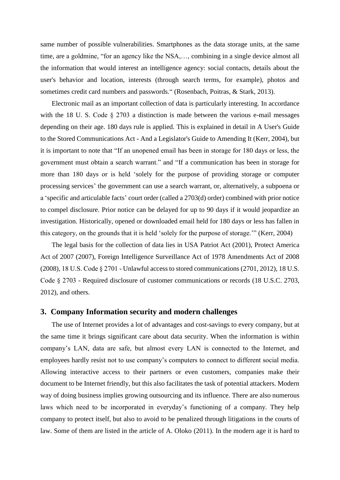same number of possible vulnerabilities. Smartphones as the data storage units, at the same time, are a goldmine, "for an agency like the NSA,…, combining in a single device almost all the information that would interest an intelligence agency: social contacts, details about the user's behavior and location, interests (through search terms, for example), photos and sometimes credit card numbers and passwords." (Rosenbach, Poitras, & Stark, 2013).

Electronic mail as an important collection of data is particularly interesting. In accordance with the 18 U. S. Code § 2703 a distinction is made between the various e-mail messages depending on their age. 180 days rule is applied. This is explained in detail in A User's Guide to the Stored Communications Act - And a Legislator's Guide to Amending It (Kerr, 2004), but it is important to note that "If an unopened email has been in storage for 180 days or less, the government must obtain a search warrant." and "If a communication has been in storage for more than 180 days or is held 'solely for the purpose of providing storage or computer processing services' the government can use a search warrant, or, alternatively, a subpoena or a 'specific and articulable facts' court order (called a 2703(d) order) combined with prior notice to compel disclosure. Prior notice can be delayed for up to 90 days if it would jeopardize an investigation. Historically, opened or downloaded email held for 180 days or less has fallen in this category, on the grounds that it is held 'solely for the purpose of storage.'" (Kerr, 2004)

The legal basis for the collection of data lies in USA Patriot Act (2001), Protect America Act of 2007 (2007), Foreign Intelligence Surveillance Act of 1978 Amendments Act of 2008 (2008), 18 U.S. Code § 2701 - Unlawful access to stored communications (2701, 2012), 18 U.S. Code § 2703 - Required disclosure of customer communications or records (18 U.S.C. 2703, 2012), and others.

### **3. Company Information security and modern challenges**

The use of Internet provides a lot of advantages and cost-savings to every company, but at the same time it brings significant care about data security. When the information is within company's LAN, data are safe, but almost every LAN is connected to the Internet, and employees hardly resist not to use company's computers to connect to different social media. Allowing interactive access to their partners or even customers, companies make their document to be Internet friendly, but this also facilitates the task of potential attackers. Modern way of doing business implies growing outsourcing and its influence. There are also numerous laws which need to be incorporated in everyday's functioning of a company. They help company to protect itself, but also to avoid to be penalized through litigations in the courts of law. Some of them are listed in the article of A. Oloko (2011). In the modern age it is hard to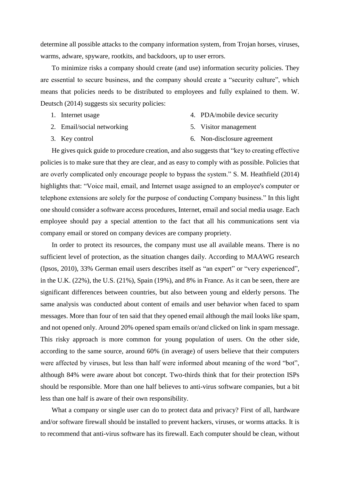determine all possible attacks to the company information system, from Trojan horses, viruses, warms, adware, spyware, rootkits, and backdoors, up to user errors.

To minimize risks a company should create (and use) information security policies. They are essential to secure business, and the company should create a "security culture", which means that policies needs to be distributed to employees and fully explained to them. W. Deutsch (2014) suggests six security policies:

1. Internet usage

4. PDA/mobile device security

2. Email/social networking

5. Visitor management

3. Key control

6. Non-disclosure agreement

He gives quick guide to procedure creation, and also suggests that "key to creating effective policies is to make sure that they are clear, and as easy to comply with as possible. Policies that are overly complicated only encourage people to bypass the system." S. M. Heathfield (2014) highlights that: "Voice mail, email, and Internet usage assigned to an employee's computer or telephone extensions are solely for the purpose of conducting Company business." In this light one should consider a software access procedures, Internet, email and social media usage. Each employee should pay a special attention to the fact that all his communications sent via company email or stored on company devices are company propriety.

In order to protect its resources, the company must use all available means. There is no sufficient level of protection, as the situation changes daily. According to MAAWG research (Ipsos, 2010), 33% German email users describes itself as "an expert" or "very experienced", in the U.K. (22%), the U.S. (21%), Spain (19%), and 8% in France. As it can be seen, there are significant differences between countries, but also between young and elderly persons. The same analysis was conducted about content of emails and user behavior when faced to spam messages. More than four of ten said that they opened email although the mail looks like spam, and not opened only. Around 20% opened spam emails or/and clicked on link in spam message. This risky approach is more common for young population of users. On the other side, according to the same source, around 60% (in average) of users believe that their computers were affected by viruses, but less than half were informed about meaning of the word "bot", although 84% were aware about bot concept. Two-thirds think that for their protection ISPs should be responsible. More than one half believes to anti-virus software companies, but a bit less than one half is aware of their own responsibility.

What a company or single user can do to protect data and privacy? First of all, hardware and/or software firewall should be installed to prevent hackers, viruses, or worms attacks. It is to recommend that anti-virus software has its firewall. Each computer should be clean, without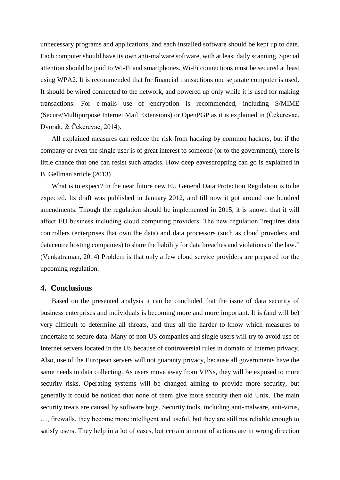unnecessary programs and applications, and each installed software should be kept up to date. Each computer should have its own anti-malware software, with at least daily scanning. Special attention should be paid to Wi-Fi and smartphones. Wi-Fi connections must be secured at least using WPA2. It is recommended that for financial transactions one separate computer is used. It should be wired connected to the network, and powered up only while it is used for making transactions. For e-mails use of encryption is recommended, including S/MIME (Secure/Multipurpose Internet Mail Extensions) or OpenPGP as it is explained in (Čekerevac, Dvorak, & Čekerevac, 2014).

All explained measures can reduce the risk from hacking by common hackers, but if the company or even the single user is of great interest to someone (or to the government), there is little chance that one can resist such attacks. How deep eavesdropping can go is explained in B. Gellman article (2013)

What is to expect? In the near future new EU General Data Protection Regulation is to be expected. Its draft was published in January 2012, and till now it got around one hundred amendments. Though the regulation should be implemented in 2015, it is known that it will affect EU business including cloud computing providers. The new regulation "requires data controllers (enterprises that own the data) and data processors (such as cloud providers and datacentre hosting companies) to share the liability for data breaches and violations of the law." (Venkatraman, 2014) Problem is that only a few cloud service providers are prepared for the upcoming regulation.

#### **4. Conclusions**

Based on the presented analysis it can be concluded that the issue of data security of business enterprises and individuals is becoming more and more important. It is (and will be) very difficult to determine all threats, and thus all the harder to know which measures to undertake to secure data. Many of non US companies and single users will try to avoid use of Internet servers located in the US because of controversial rules in domain of Internet privacy. Also, use of the European servers will not guaranty privacy, because all governments have the same needs in data collecting. As users move away from VPNs, they will be exposed to more security risks. Operating systems will be changed aiming to provide more security, but generally it could be noticed that none of them give more security then old Unix. The main security treats are caused by software bugs. Security tools, including anti-malware, anti-virus, …, firewalls, they become more intelligent and useful, but they are still not reliable enough to satisfy users. They help in a lot of cases, but certain amount of actions are in wrong direction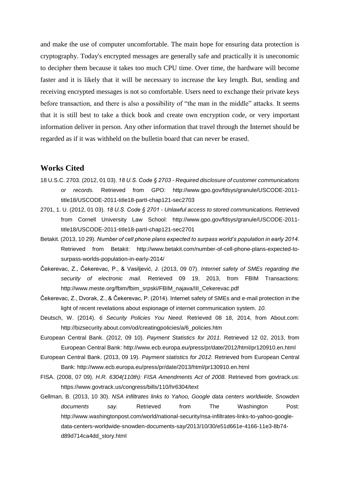and make the use of computer uncomfortable. The main hope for ensuring data protection is cryptography. Today's encrypted messages are generally safe and practically it is uneconomic to decipher them because it takes too much CPU time. Over time, the hardware will become faster and it is likely that it will be necessary to increase the key length. But, sending and receiving encrypted messages is not so comfortable. Users need to exchange their private keys before transaction, and there is also a possibility of "the man in the middle" attacks. It seems that it is still best to take a thick book and create own encryption code, or very important information deliver in person. Any other information that travel through the Internet should be regarded as if it was withheld on the bulletin board that can never be erased.

### **Works Cited**

- 18 U.S.C. 2703. (2012, 01 03). *18 U.S. Code § 2703 - Required disclosure of customer communications or records.* Retrieved from GPO: http://www.gpo.gov/fdsys/granule/USCODE-2011 title18/USCODE-2011-title18-partI-chap121-sec2703
- 2701, 1. U. (2012, 01 03). *18 U.S. Code § 2701 - Unlawful access to stored communications.* Retrieved from Cornell University Law School: http://www.gpo.gov/fdsys/granule/USCODE-2011 title18/USCODE-2011-title18-partI-chap121-sec2701
- Betakit. (2013, 10 29). *Number of cell phone plans expected to surpass world's population in early 2014.* Retrieved from Betakit: http://www.betakit.com/number-of-cell-phone-plans-expected-tosurpass-worlds-population-in-early-2014/
- Čekerevac, Z., Čekerevac, P., & Vasiljević, J. (2013, 09 07). *Internet safety of SMEs regarding the security of electronic mail.* Retrieved 09 19, 2013, from FBIM Transactions: http://www.meste.org/fbim/fbim\_srpski/FBIM\_najava/III\_Cekerevac.pdf
- Čekerevac, Z., Dvorak, Z., & Čekerevac, P. (2014). Internet safety of SMEs and e-mail protection in the light of recent revelations about espionage of internet communication system. *10*.
- Deutsch, W. (2014). *6 Security Policies You Need.* Retrieved 08 18, 2014, from About.com: http://bizsecurity.about.com/od/creatingpolicies/a/6\_policies.htm
- European Central Bank. (2012, 09 10). *Payment Statistics for 2011.* Retrieved 12 02, 2013, from European Central Bank: http://www.ecb.europa.eu/press/pr/date/2012/html/pr120910.en.html
- European Central Bank. (2013, 09 19). *Payment statistics for 2012.* Retrieved from European Central Bank: http://www.ecb.europa.eu/press/pr/date/2013/html/pr130910.en.html
- FISA. (2008, 07 09). *H.R. 6304(110th): FISA Amendments Act of 2008.* Retrieved from govtrack.us: https://www.govtrack.us/congress/bills/110/hr6304/text
- Gellman, B. (2013, 10 30). *NSA infiltrates links to Yahoo, Google data centers worldwide, Snowden documents say.* Retrieved from The Washington Post: http://www.washingtonpost.com/world/national-security/nsa-infiltrates-links-to-yahoo-googledata-centers-worldwide-snowden-documents-say/2013/10/30/e51d661e-4166-11e3-8b74 d89d714ca4dd\_story.html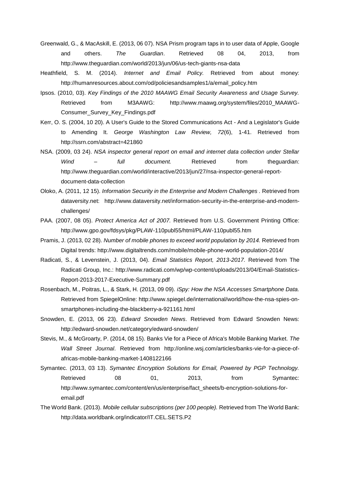- Greenwald, G., & MacAskill, E. (2013, 06 07). NSA Prism program taps in to user data of Apple, Google and others. *The Guardian*. Retrieved 08 04, 2013, from http://www.theguardian.com/world/2013/jun/06/us-tech-giants-nsa-data
- Heathfield, S. M. (2014). *Internet and Email Policy.* Retrieved from about money: http://humanresources.about.com/od/policiesandsamples1/a/email\_policy.htm
- Ipsos. (2010, 03). *Key Findings of the 2010 MAAWG Email Security Awareness and Usage Survey.* Retrieved from M3AAWG: http://www.maawg.org/system/files/2010\_MAAWG-Consumer\_Survey\_Key\_Findings.pdf
- Kerr, O. S. (2004, 10 20). A User's Guide to the Stored Communications Act And a Legislator's Guide to Amending It. *George Washington Law Review, 72*(6), 1-41. Retrieved from http://ssrn.com/abstract=421860
- NSA. (2009, 03 24). *NSA inspector general report on email and internet data collection under Stellar Wind – full document.* Retrieved from theguardian: http://www.theguardian.com/world/interactive/2013/jun/27/nsa-inspector-general-reportdocument-data-collection
- Oloko, A. (2011, 12 15). *Information Security in the Enterprise and Modern Challenges .* Retrieved from dataversity.net: http://www.dataversity.net/information-security-in-the-enterprise-and-modernchallenges/
- PAA. (2007, 08 05). *Protect America Act of 2007.* Retrieved from U.S. Government Printing Office: http://www.gpo.gov/fdsys/pkg/PLAW-110publ55/html/PLAW-110publ55.htm
- Pramis, J. (2013, 02 28). *Number of mobile phones to exceed world population by 2014.* Retrieved from Digital trends: http://www.digitaltrends.com/mobile/mobile-phone-world-population-2014/
- Radicati, S., & Levenstein, J. (2013, 04). *Email Statistics Report, 2013-2017.* Retrieved from The Radicati Group, Inc.: http://www.radicati.com/wp/wp-content/uploads/2013/04/Email-Statistics-Report-2013-2017-Executive-Summary.pdf
- Rosenbach, M., Poitras, L., & Stark, H. (2013, 09 09). *iSpy: How the NSA Accesses Smartphone Data.* Retrieved from SpiegelOnline: http://www.spiegel.de/international/world/how-the-nsa-spies-onsmartphones-including-the-blackberry-a-921161.html
- Snowden, E. (2013, 06 23). *Edward Snowden News*. Retrieved from Edward Snowden News: http://edward-snowden.net/category/edward-snowden/
- Stevis, M., & McGroarty, P. (2014, 08 15). Banks Vie for a Piece of Africa's Mobile Banking Market. *The Wall Street Journal*. Retrieved from http://online.wsj.com/articles/banks-vie-for-a-piece-ofafricas-mobile-banking-market-1408122166
- Symantec. (2013, 03 13). *Symantec Encryption Solutions for Email, Powered by PGP Technology.* Retrieved 08 01, 2013, from Symantec: http://www.symantec.com/content/en/us/enterprise/fact\_sheets/b-encryption-solutions-foremail.pdf
- The World Bank. (2013). *Mobile cellular subscriptions (per 100 people).* Retrieved from The World Bank: http://data.worldbank.org/indicator/IT.CEL.SETS.P2